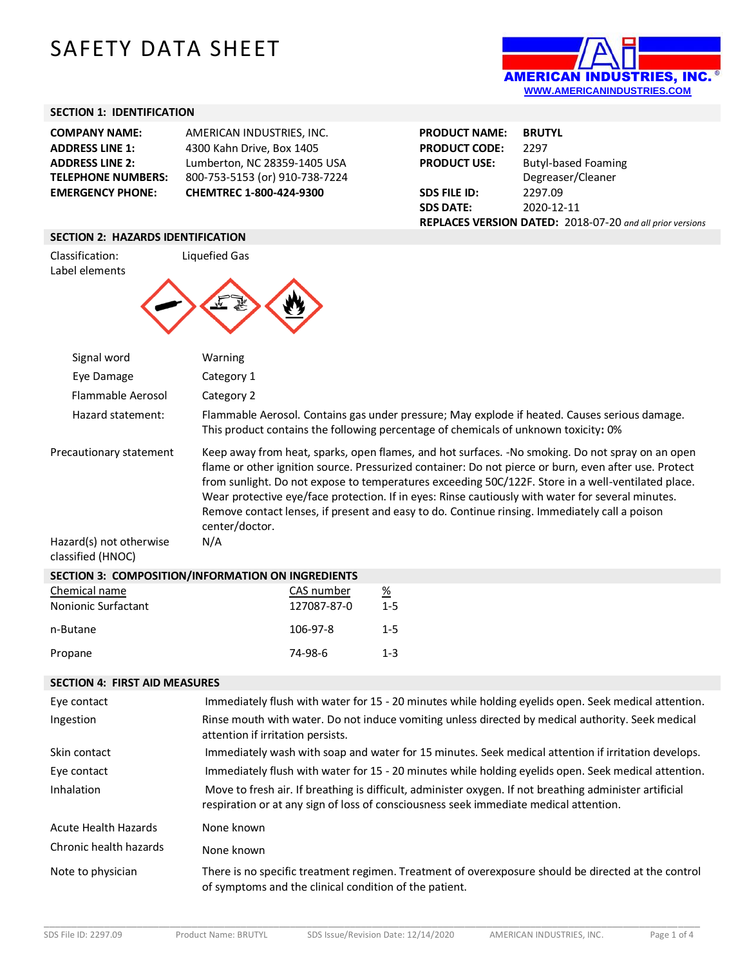# SAFETY DATA SHEET



## **SECTION 1: IDENTIFICATION**

| <b>EMERGENCY PHONE:</b>   | CHEMTREC 1-800-424-9300        |
|---------------------------|--------------------------------|
| <b>TELEPHONE NUMBERS:</b> | 800-753-5153 (or) 910-738-7224 |
| <b>ADDRESS LINE 2:</b>    | Lumberton, NC 28359-1405 USA   |
| <b>ADDRESS LINE 1:</b>    | 4300 Kahn Drive, Box 1405      |
| <b>COMPANY NAME:</b>      | AMERICAN INDUSTRIES. INC.      |

| <b>PRODUCT NAME:</b>                                      | <b>BRUTYL</b>              |  |
|-----------------------------------------------------------|----------------------------|--|
| <b>PRODUCT CODE:</b>                                      | 2297                       |  |
| <b>PRODUCT USE:</b>                                       | <b>Butyl-based Foaming</b> |  |
|                                                           | Degreaser/Cleaner          |  |
| <b>SDS FILE ID:</b>                                       | 2297.09                    |  |
| <b>SDS DATE:</b>                                          | 2020-12-11                 |  |
| REPLACES VERSION DATED: 2018-07-20 and all prior versions |                            |  |

#### **SECTION 2: HAZARDS IDENTIFICATION**

Classification: Liquefied Gas Label elements



| Signal word                                                             | Warning               |                           |                                                                                     |                                                                                                                                                                                                                                                                                                                                                                                                                                                                                                                       |  |
|-------------------------------------------------------------------------|-----------------------|---------------------------|-------------------------------------------------------------------------------------|-----------------------------------------------------------------------------------------------------------------------------------------------------------------------------------------------------------------------------------------------------------------------------------------------------------------------------------------------------------------------------------------------------------------------------------------------------------------------------------------------------------------------|--|
| Eye Damage                                                              | Category 1            |                           |                                                                                     |                                                                                                                                                                                                                                                                                                                                                                                                                                                                                                                       |  |
| Flammable Aerosol                                                       | Category 2            |                           |                                                                                     |                                                                                                                                                                                                                                                                                                                                                                                                                                                                                                                       |  |
| Hazard statement:                                                       |                       |                           | This product contains the following percentage of chemicals of unknown toxicity: 0% | Flammable Aerosol. Contains gas under pressure; May explode if heated. Causes serious damage.                                                                                                                                                                                                                                                                                                                                                                                                                         |  |
| Precautionary statement<br>Hazard(s) not otherwise<br>classified (HNOC) | center/doctor.<br>N/A |                           |                                                                                     | Keep away from heat, sparks, open flames, and hot surfaces. -No smoking. Do not spray on an open<br>flame or other ignition source. Pressurized container: Do not pierce or burn, even after use. Protect<br>from sunlight. Do not expose to temperatures exceeding 50C/122F. Store in a well-ventilated place.<br>Wear protective eye/face protection. If in eyes: Rinse cautiously with water for several minutes.<br>Remove contact lenses, if present and easy to do. Continue rinsing. Immediately call a poison |  |
| SECTION 3: COMPOSITION/INFORMATION ON INGREDIENTS                       |                       |                           |                                                                                     |                                                                                                                                                                                                                                                                                                                                                                                                                                                                                                                       |  |
| Chemical name<br>Nonionic Surfactant                                    |                       | CAS number<br>127087-87-0 | $\frac{\%}{\%}$<br>$1-5$                                                            |                                                                                                                                                                                                                                                                                                                                                                                                                                                                                                                       |  |
| n-Butane                                                                |                       | 106-97-8                  | $1 - 5$                                                                             |                                                                                                                                                                                                                                                                                                                                                                                                                                                                                                                       |  |
| Propane                                                                 |                       | 74-98-6                   | $1 - 3$                                                                             |                                                                                                                                                                                                                                                                                                                                                                                                                                                                                                                       |  |
| <b>SECTION 4: FIRST AID MEASURES</b>                                    |                       |                           |                                                                                     |                                                                                                                                                                                                                                                                                                                                                                                                                                                                                                                       |  |
| Eye contact                                                             |                       |                           |                                                                                     | Immediately flush with water for 15 - 20 minutes while holding eyelids open. Seek medical attention.                                                                                                                                                                                                                                                                                                                                                                                                                  |  |
| Ingestion                                                               |                       |                           |                                                                                     | Rinse mouth with water. Do not induce vomiting unless directed by medical authority. Seek medical                                                                                                                                                                                                                                                                                                                                                                                                                     |  |
|                                                                         |                       |                           |                                                                                     |                                                                                                                                                                                                                                                                                                                                                                                                                                                                                                                       |  |

|                             | attention if irritation persists.                                                                                                                                                                |
|-----------------------------|--------------------------------------------------------------------------------------------------------------------------------------------------------------------------------------------------|
| Skin contact                | Immediately wash with soap and water for 15 minutes. Seek medical attention if irritation develops.                                                                                              |
| Eye contact                 | Immediately flush with water for 15 - 20 minutes while holding eyelids open. Seek medical attention.                                                                                             |
| Inhalation                  | Move to fresh air. If breathing is difficult, administer oxygen. If not breathing administer artificial<br>respiration or at any sign of loss of consciousness seek immediate medical attention. |
| <b>Acute Health Hazards</b> | None known                                                                                                                                                                                       |
| Chronic health hazards      | None known                                                                                                                                                                                       |
| Note to physician           | There is no specific treatment regimen. Treatment of overexposure should be directed at the control<br>of symptoms and the clinical condition of the patient.                                    |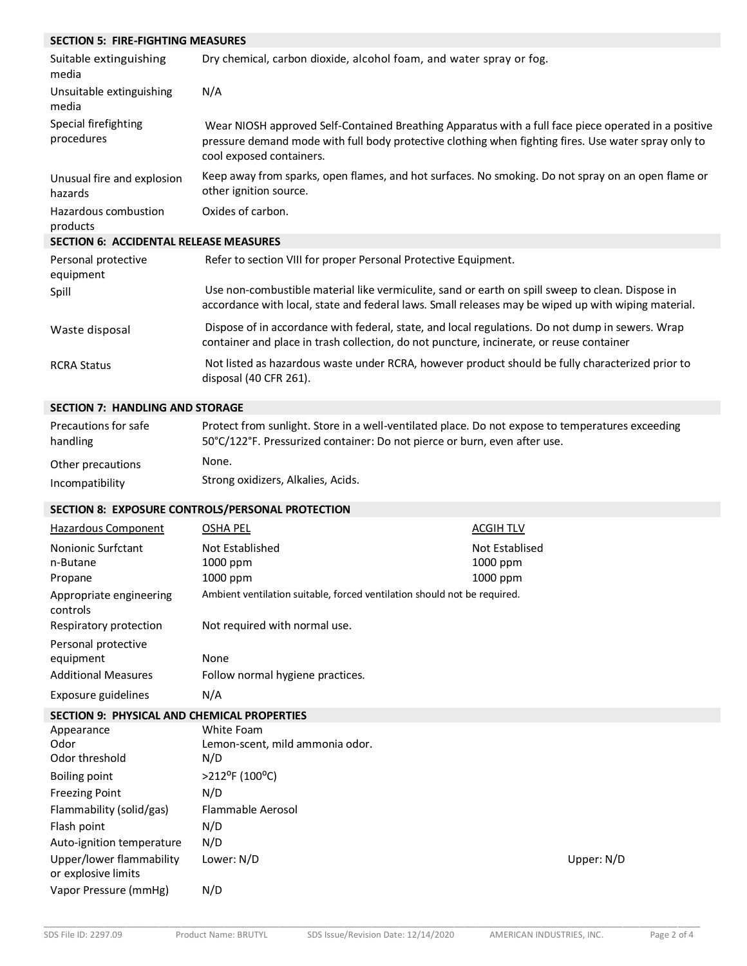#### **SECTION 5: FIRE-FIGHTING MEASURES** Suitable extinguishing media Dry chemical, carbon dioxide, alcohol foam, and water spray or fog. Unsuitable extinguishing media N/A Special firefighting procedures Wear NIOSH approved Self-Contained Breathing Apparatus with a full face piece operated in a positive pressure demand mode with full body protective clothing when fighting fires. Use water spray only to cool exposed containers. Unusual fire and explosion hazards Keep away from sparks, open flames, and hot surfaces. No smoking. Do not spray on an open flame or other ignition source. Hazardous combustion products Oxides of carbon. **SECTION 6: ACCIDENTAL RELEASE MEASURES** Personal protective equipment Refer to section VIII for proper Personal Protective Equipment. Spill Use non-combustible material like vermiculite, sand or earth on spill sweep to clean. Dispose in accordance with local, state and federal laws. Small releases may be wiped up with wiping material. Waste disposal Dispose of in accordance with federal, state, and local regulations. Do not dump in sewers. Wrap container and place in trash collection, do not puncture, incinerate, or reuse container RCRA Status Not listed as hazardous waste under RCRA, however product should be fully characterized prior to disposal (40 CFR 261).

### **SECTION 7: HANDLING AND STORAGE**

| Precautions for safe | Protect from sunlight. Store in a well-ventilated place. Do not expose to temperatures exceeding |
|----------------------|--------------------------------------------------------------------------------------------------|
| handling             | 50°C/122°F. Pressurized container: Do not pierce or burn, even after use.                        |
| Other precautions    | None.                                                                                            |
| Incompatibility      | Strong oxidizers, Alkalies, Acids.                                                               |

### **SECTION 8: EXPOSURE CONTROLS/PERSONAL PROTECTION**

| Hazardous Component                                            | <b>OSHA PEL</b>                                                          | <b>ACGIHTLV</b>                        |            |
|----------------------------------------------------------------|--------------------------------------------------------------------------|----------------------------------------|------------|
| Nonionic Surfctant<br>n-Butane<br>Propane                      | Not Established<br>1000 ppm<br>1000 ppm                                  | Not Establised<br>1000 ppm<br>1000 ppm |            |
| Appropriate engineering<br>controls                            | Ambient ventilation suitable, forced ventilation should not be required. |                                        |            |
| Respiratory protection                                         | Not required with normal use.                                            |                                        |            |
| Personal protective<br>equipment<br><b>Additional Measures</b> | None<br>Follow normal hygiene practices.                                 |                                        |            |
| Exposure guidelines                                            | N/A                                                                      |                                        |            |
| <b>SECTION 9: PHYSICAL AND CHEMICAL PROPERTIES</b>             |                                                                          |                                        |            |
| Appearance<br>Odor<br>Odor threshold                           | White Foam<br>Lemon-scent, mild ammonia odor.<br>N/D                     |                                        |            |
| <b>Boiling point</b>                                           | $>212$ <sup>o</sup> F (100 <sup>o</sup> C)                               |                                        |            |
| <b>Freezing Point</b>                                          | N/D                                                                      |                                        |            |
| Flammability (solid/gas)                                       | <b>Flammable Aerosol</b>                                                 |                                        |            |
| Flash point                                                    | N/D                                                                      |                                        |            |
| Auto-ignition temperature                                      | N/D                                                                      |                                        |            |
| Upper/lower flammability<br>or explosive limits                | Lower: N/D                                                               |                                        | Upper: N/D |
| Vapor Pressure (mmHg)                                          | N/D                                                                      |                                        |            |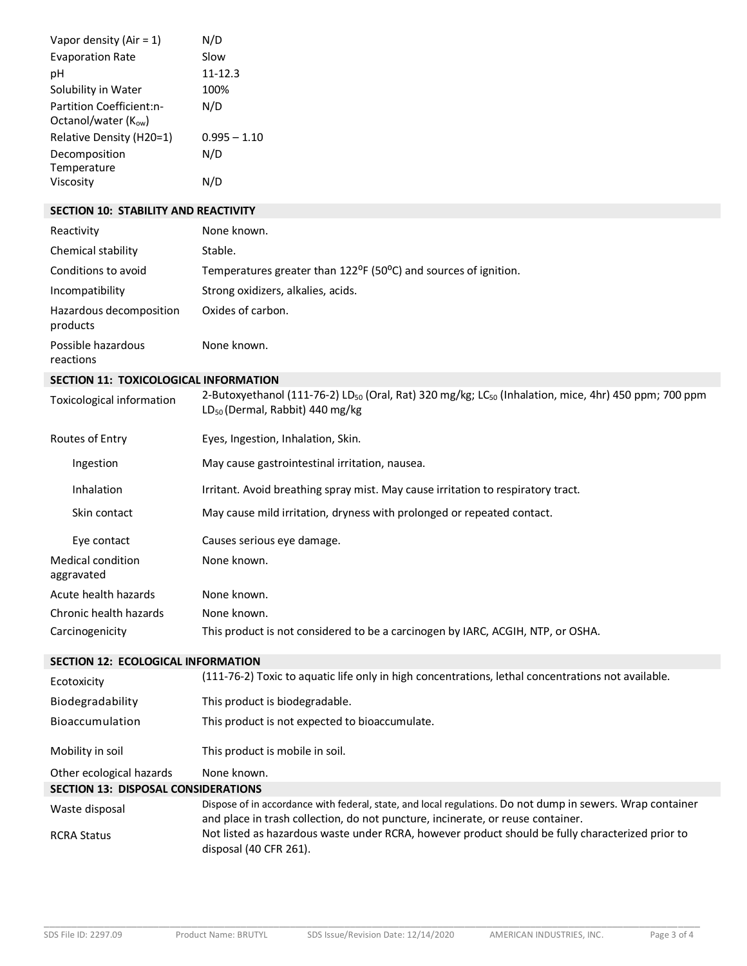| Vapor density (Air = $1$ ) | N/D            |
|----------------------------|----------------|
| <b>Evaporation Rate</b>    | Slow           |
| рH                         | $11 - 12.3$    |
| Solubility in Water        | 100%           |
| Partition Coefficient:n-   | N/D            |
| Octanol/water $(K_{ow})$   |                |
| Relative Density (H20=1)   | $0.995 - 1.10$ |
| Decomposition              | N/D            |
| Temperature                |                |
| Viscosity                  |                |

### **SECTION 10: STABILITY AND REACTIVITY**

| Reactivity                                   | None known.                                                                                                                  |
|----------------------------------------------|------------------------------------------------------------------------------------------------------------------------------|
| Chemical stability                           | Stable.                                                                                                                      |
| Conditions to avoid                          | Temperatures greater than $122^{\circ}F$ (50 $^{\circ}C$ ) and sources of ignition.                                          |
| Incompatibility                              | Strong oxidizers, alkalies, acids.                                                                                           |
| Hazardous decomposition<br>products          | Oxides of carbon.                                                                                                            |
| Possible hazardous<br>reactions              | None known.                                                                                                                  |
| <b>SECTION 11: TOXICOLOGICAL INFORMATION</b> |                                                                                                                              |
| Toxicological information                    | 2-Butoxyethanol (111-76-2) LD <sub>50</sub> (Oral, Rat) 320 mg/kg; LC <sub>50</sub> (Inhalation, mice, 4hr) 450 ppm; 700 ppm |

| TOXICOIORICALITTIOITTIALIOIT    | LD <sub>50</sub> (Dermal, Rabbit) 440 mg/kg                                      |
|---------------------------------|----------------------------------------------------------------------------------|
| Routes of Entry                 | Eyes, Ingestion, Inhalation, Skin.                                               |
| Ingestion                       | May cause gastrointestinal irritation, nausea.                                   |
| Inhalation                      | Irritant. Avoid breathing spray mist. May cause irritation to respiratory tract. |
| Skin contact                    | May cause mild irritation, dryness with prolonged or repeated contact.           |
| Eye contact                     | Causes serious eye damage.                                                       |
| Medical condition<br>aggravated | None known.                                                                      |
| Acute health hazards            | None known.                                                                      |
| Chronic health hazards          | None known.                                                                      |
| Carcinogenicity                 | This product is not considered to be a carcinogen by IARC, ACGIH, NTP, or OSHA.  |
|                                 |                                                                                  |

## **SECTION 12: ECOLOGICAL INFORMATION**

| Ecotoxicity                                | (111-76-2) Toxic to aquatic life only in high concentrations, lethal concentrations not available.        |
|--------------------------------------------|-----------------------------------------------------------------------------------------------------------|
| Biodegradability                           | This product is biodegradable.                                                                            |
| <b>Bioaccumulation</b>                     | This product is not expected to bioaccumulate.                                                            |
| Mobility in soil                           | This product is mobile in soil.                                                                           |
| Other ecological hazards                   | None known.                                                                                               |
| <b>SECTION 13: DISPOSAL CONSIDERATIONS</b> |                                                                                                           |
|                                            | Dispose of in accordance with foderal state, and local regulations. Do not dumn in sewers, Wran container |

| Waste disposal     | Dispose of in accordance with federal, state, and local regulations. Do not dump in sewers. Wrap container |
|--------------------|------------------------------------------------------------------------------------------------------------|
|                    | and place in trash collection, do not puncture, incinerate, or reuse container.                            |
| <b>RCRA Status</b> | Not listed as hazardous waste under RCRA, however product should be fully characterized prior to           |
|                    | disposal (40 CFR 261).                                                                                     |